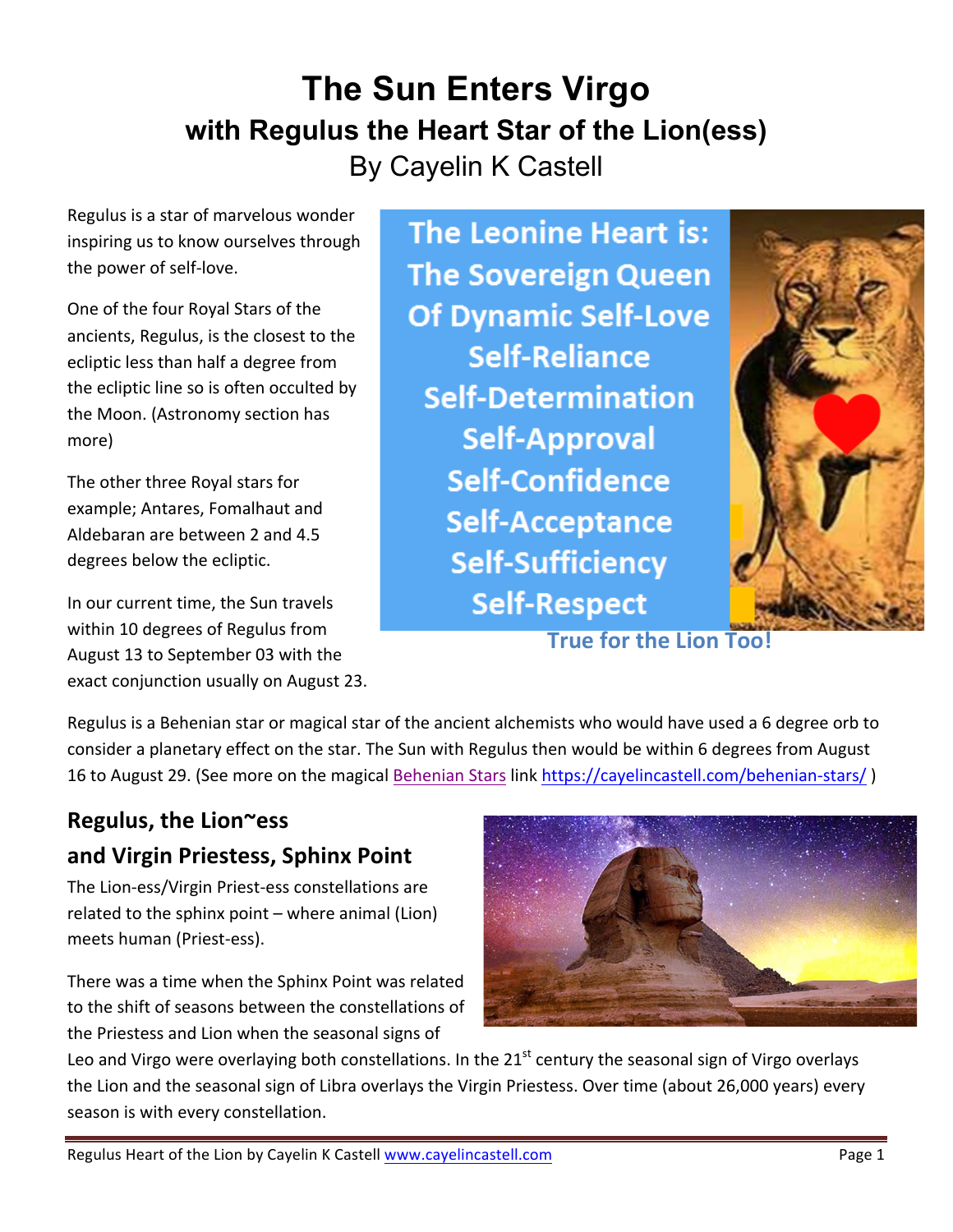# **The Sun Enters Virgo with Regulus the Heart Star of the Lion(ess)** By Cayelin K Castell

Regulus is a star of marvelous wonder inspiring us to know ourselves through the power of self-love.

One of the four Royal Stars of the ancients, Regulus, is the closest to the ecliptic less than half a degree from the ecliptic line so is often occulted by the Moon. (Astronomy section has more)

The other three Royal stars for example: Antares, Fomalhaut and Aldebaran are between 2 and 4.5 degrees below the ecliptic.

In our current time, the Sun travels within 10 degrees of Regulus from August 13 to September 03 with the exact conjunction usually on August 23.

The Leonine Heart is: **The Sovereign Queen Of Dynamic Self-Love Self-Reliance Self-Determination Self-Approval Self-Confidence Self-Acceptance Self-Sufficiency Self-Respect** 



**True for the Lion Too!** 

Regulus is a Behenian star or magical star of the ancient alchemists who would have used a 6 degree orb to consider a planetary effect on the star. The Sun with Regulus then would be within 6 degrees from August 16 to August 29. (See more on the magical Behenian Stars link https://cayelincastell.com/behenian-stars/)

## **Regulus, the Lion~ess and Virgin Priestess, Sphinx Point**

The Lion-ess/Virgin Priest-ess constellations are related to the sphinx point  $-$  where animal (Lion) meets human (Priest-ess).

There was a time when the Sphinx Point was related to the shift of seasons between the constellations of the Priestess and Lion when the seasonal signs of



Leo and Virgo were overlaying both constellations. In the  $21<sup>st</sup>$  century the seasonal sign of Virgo overlays the Lion and the seasonal sign of Libra overlays the Virgin Priestess. Over time (about 26,000 years) every season is with every constellation.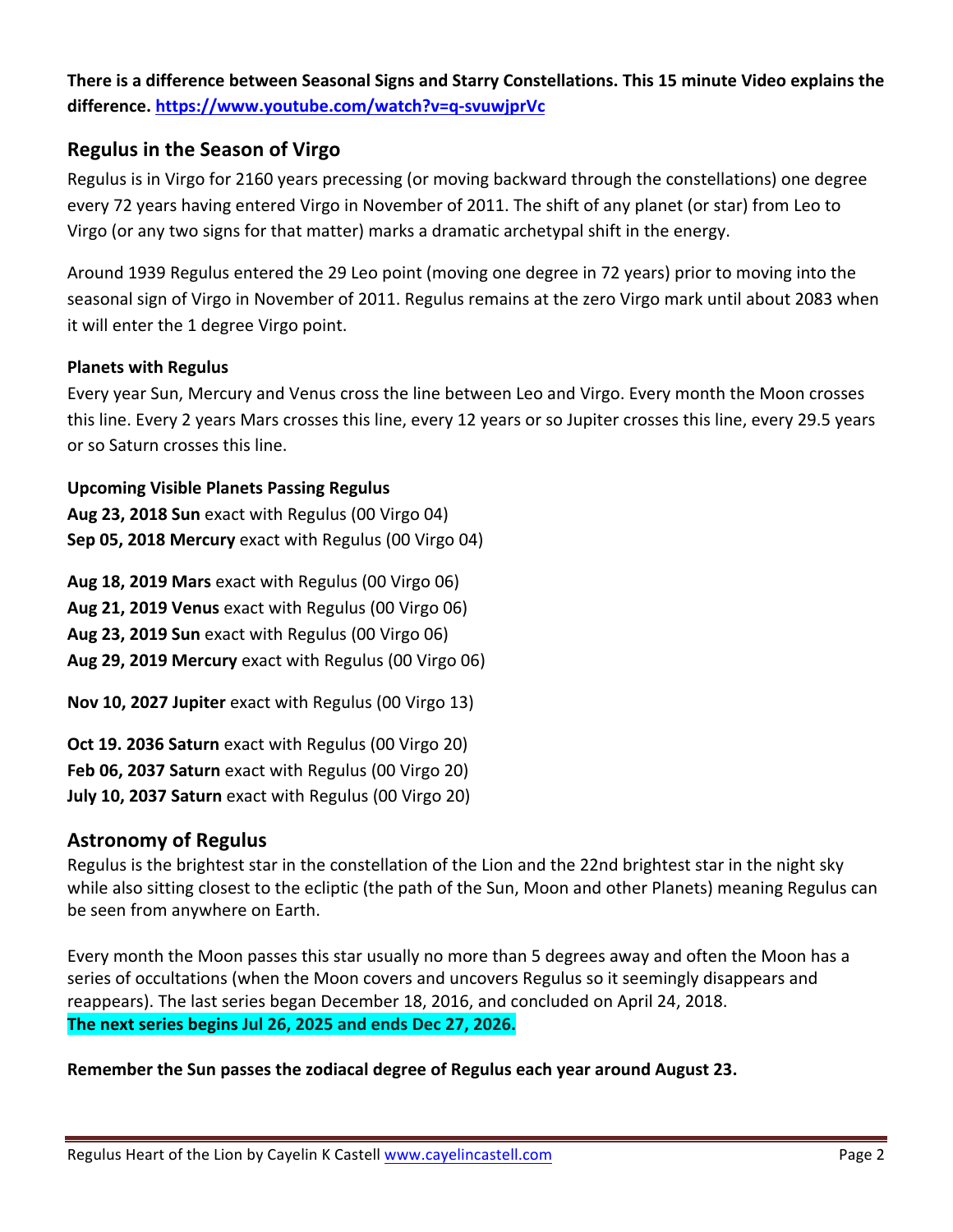**There is a difference between Seasonal Signs and Starry Constellations. This 15 minute Video explains the difference. https://www.youtube.com/watch?v=q-svuwjprVc**

### **Regulus in the Season of Virgo**

Regulus is in Virgo for 2160 years precessing (or moving backward through the constellations) one degree every 72 years having entered Virgo in November of 2011. The shift of any planet (or star) from Leo to Virgo (or any two signs for that matter) marks a dramatic archetypal shift in the energy.

Around 1939 Regulus entered the 29 Leo point (moving one degree in 72 years) prior to moving into the seasonal sign of Virgo in November of 2011. Regulus remains at the zero Virgo mark until about 2083 when it will enter the 1 degree Virgo point.

#### **Planets with Regulus**

Every year Sun, Mercury and Venus cross the line between Leo and Virgo. Every month the Moon crosses this line. Every 2 years Mars crosses this line, every 12 years or so Jupiter crosses this line, every 29.5 years or so Saturn crosses this line.

**Upcoming Visible Planets Passing Regulus Aug 23, 2018 Sun** exact with Regulus (00 Virgo 04) **Sep 05, 2018 Mercury** exact with Regulus (00 Virgo 04)

**Aug 18, 2019 Mars** exact with Regulus (00 Virgo 06) **Aug 21, 2019 Venus** exact with Regulus (00 Virgo 06) **Aug 23, 2019 Sun** exact with Regulus (00 Virgo 06) **Aug 29, 2019 Mercury** exact with Regulus (00 Virgo 06)

**Nov 10, 2027 Jupiter** exact with Regulus (00 Virgo 13)

**Oct 19. 2036 Saturn** exact with Regulus (00 Virgo 20)

**Feb 06, 2037 Saturn** exact with Regulus (00 Virgo 20)

**July 10, 2037 Saturn** exact with Regulus (00 Virgo 20)

#### **Astronomy of Regulus**

Regulus is the brightest star in the constellation of the Lion and the 22nd brightest star in the night sky while also sitting closest to the ecliptic (the path of the Sun, Moon and other Planets) meaning Regulus can be seen from anywhere on Earth.

Every month the Moon passes this star usually no more than 5 degrees away and often the Moon has a series of occultations (when the Moon covers and uncovers Regulus so it seemingly disappears and reappears). The last series began December 18, 2016, and concluded on April 24, 2018. The next series begins Jul 26, 2025 and ends Dec 27, 2026.

#### Remember the Sun passes the zodiacal degree of Regulus each year around August 23.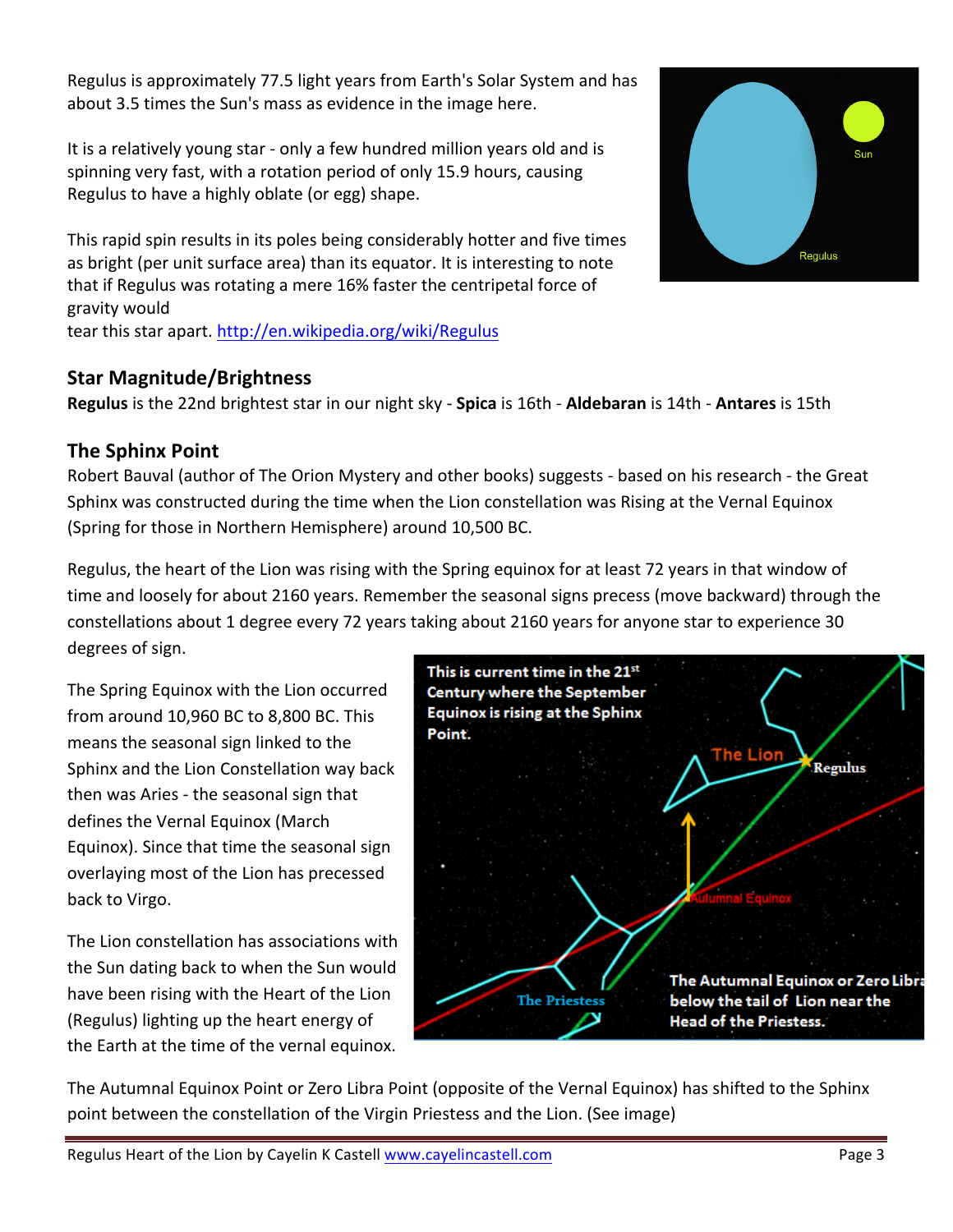Regulus is approximately 77.5 light years from Earth's Solar System and has about 3.5 times the Sun's mass as evidence in the image here.

It is a relatively young star - only a few hundred million years old and is spinning very fast, with a rotation period of only 15.9 hours, causing Regulus to have a highly oblate (or egg) shape.

This rapid spin results in its poles being considerably hotter and five times as bright (per unit surface area) than its equator. It is interesting to note that if Regulus was rotating a mere 16% faster the centripetal force of gravity would



tear this star apart. http://en.wikipedia.org/wiki/Regulus

## **Star Magnitude/Brightness**

**Regulus** is the 22nd brightest star in our night sky - Spica is 16th - Aldebaran is 14th - Antares is 15th

## **The Sphinx Point**

Robert Bauval (author of The Orion Mystery and other books) suggests - based on his research - the Great Sphinx was constructed during the time when the Lion constellation was Rising at the Vernal Equinox (Spring for those in Northern Hemisphere) around 10,500 BC.

Regulus, the heart of the Lion was rising with the Spring equinox for at least 72 years in that window of time and loosely for about 2160 years. Remember the seasonal signs precess (move backward) through the constellations about 1 degree every 72 years taking about 2160 years for anyone star to experience 30 degrees of sign.

The Spring Equinox with the Lion occurred from around  $10,960$  BC to  $8,800$  BC. This means the seasonal sign linked to the Sphinx and the Lion Constellation way back then was Aries - the seasonal sign that defines the Vernal Equinox (March Equinox). Since that time the seasonal sign overlaying most of the Lion has precessed back to Virgo.

The Lion constellation has associations with the Sun dating back to when the Sun would have been rising with the Heart of the Lion (Regulus) lighting up the heart energy of the Earth at the time of the vernal equinox.



The Autumnal Equinox Point or Zero Libra Point (opposite of the Vernal Equinox) has shifted to the Sphinx point between the constellation of the Virgin Priestess and the Lion. (See image)